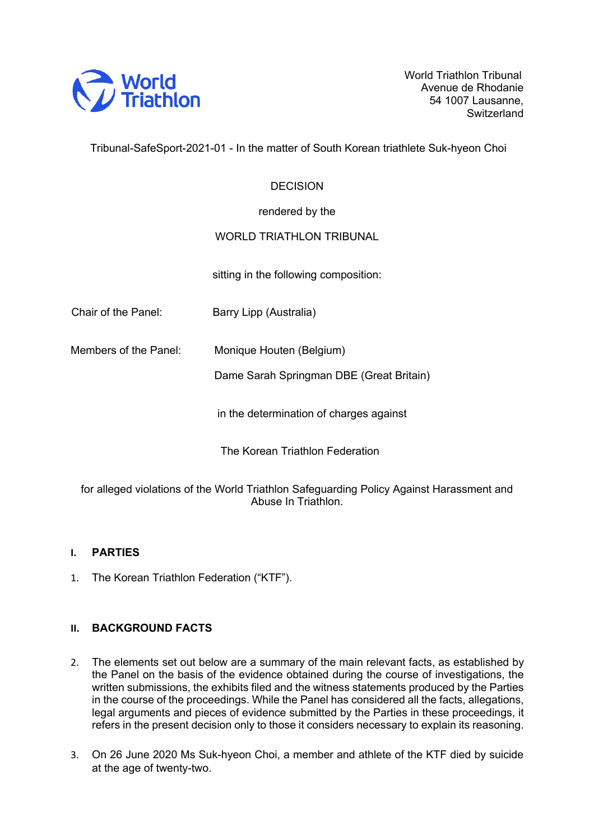

World Triathlon Tribunal Avenue de Rhodanie 54 1007 Lausanne, **Switzerland** 

Tribunal-SafeSport-2021-01 - In the matter of South Korean triathlete Suk-hyeon Choi

## **DECISION**

rendered by the

## WORLD TRIATHLON TRIBUNAL

sitting in the following composition:

Chair of the Panel: Barry Lipp (Australia)

Members of the Panel: Monique Houten (Belgium)

Dame Sarah Springman DBE (Great Britain)

in the determination of charges against

The Korean Triathlon Federation

for alleged violations of the World Triathlon Safeguarding Policy Against Harassment and Abuse In Triathlon.

## **I. PARTIES**

1. The Korean Triathlon Federation ("KTF").

## **II. BACKGROUND FACTS**

- 2. The elements set out below are a summary of the main relevant facts, as established by the Panel on the basis of the evidence obtained during the course of investigations, the written submissions, the exhibits filed and the witness statements produced by the Parties in the course of the proceedings. While the Panel has considered all the facts, allegations, legal arguments and pieces of evidence submitted by the Parties in these proceedings, it refers in the present decision only to those it considers necessary to explain its reasoning.
- 3. On 26 June 2020 Ms Suk-hyeon Choi, a member and athlete of the KTF died by suicide at the age of twenty-two.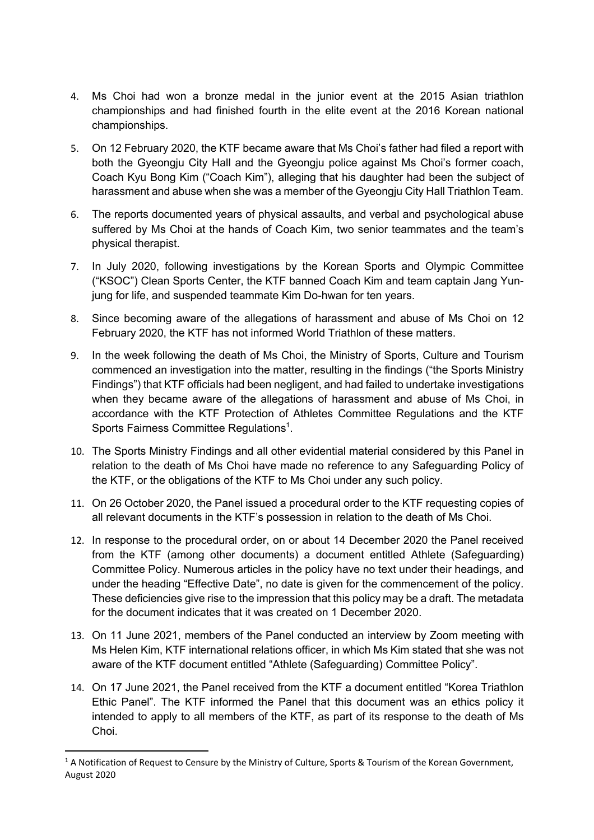- 4. Ms Choi had won a bronze medal in the junior event at the 2015 Asian triathlon championships and had finished fourth in the elite event at the 2016 Korean national championships.
- 5. On 12 February 2020, the KTF became aware that Ms Choi's father had filed a report with both the Gyeongju City Hall and the Gyeongju police against Ms Choi's former coach, Coach Kyu Bong Kim ("Coach Kim"), alleging that his daughter had been the subject of harassment and abuse when she was a member of the Gyeongju City Hall Triathlon Team.
- 6. The reports documented years of physical assaults, and verbal and psychological abuse suffered by Ms Choi at the hands of Coach Kim, two senior teammates and the team's physical therapist.
- 7. In July 2020, following investigations by the Korean Sports and Olympic Committee ("KSOC") Clean Sports Center, the KTF banned Coach Kim and team captain Jang Yunjung for life, and suspended teammate Kim Do-hwan for ten years.
- 8. Since becoming aware of the allegations of harassment and abuse of Ms Choi on 12 February 2020, the KTF has not informed World Triathlon of these matters.
- 9. In the week following the death of Ms Choi, the Ministry of Sports, Culture and Tourism commenced an investigation into the matter, resulting in the findings ("the Sports Ministry Findings") that KTF officials had been negligent, and had failed to undertake investigations when they became aware of the allegations of harassment and abuse of Ms Choi, in accordance with the KTF Protection of Athletes Committee Regulations and the KTF Sports Fairness Committee Regulations<sup>1</sup>.
- 10. The Sports Ministry Findings and all other evidential material considered by this Panel in relation to the death of Ms Choi have made no reference to any Safeguarding Policy of the KTF, or the obligations of the KTF to Ms Choi under any such policy.
- 11. On 26 October 2020, the Panel issued a procedural order to the KTF requesting copies of all relevant documents in the KTF's possession in relation to the death of Ms Choi.
- 12. In response to the procedural order, on or about 14 December 2020 the Panel received from the KTF (among other documents) a document entitled Athlete (Safeguarding) Committee Policy. Numerous articles in the policy have no text under their headings, and under the heading "Effective Date", no date is given for the commencement of the policy. These deficiencies give rise to the impression that this policy may be a draft. The metadata for the document indicates that it was created on 1 December 2020.
- 13. On 11 June 2021, members of the Panel conducted an interview by Zoom meeting with Ms Helen Kim, KTF international relations officer, in which Ms Kim stated that she was not aware of the KTF document entitled "Athlete (Safeguarding) Committee Policy".
- 14. On 17 June 2021, the Panel received from the KTF a document entitled "Korea Triathlon Ethic Panel". The KTF informed the Panel that this document was an ethics policy it intended to apply to all members of the KTF, as part of its response to the death of Ms Choi.

 $1$  A Notification of Request to Censure by the Ministry of Culture, Sports & Tourism of the Korean Government, August 2020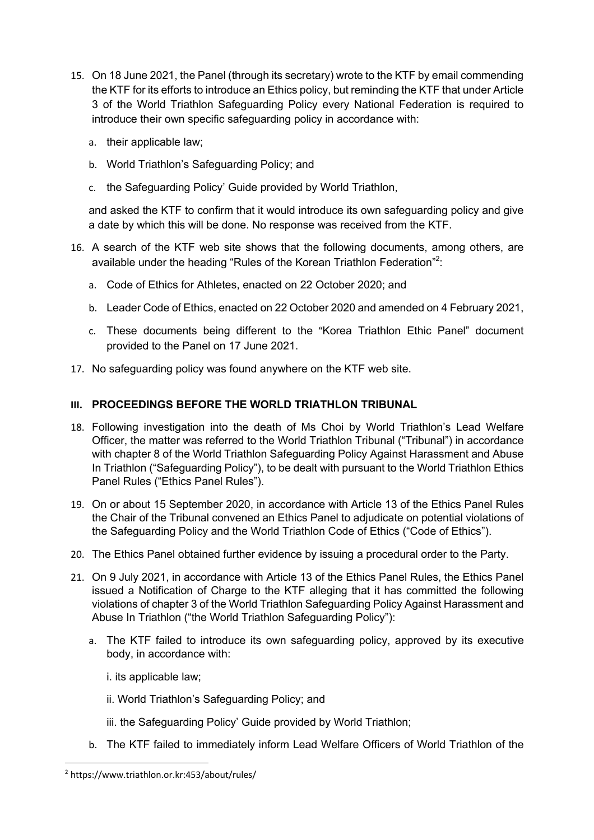- 15. On 18 June 2021, the Panel (through its secretary) wrote to the KTF by email commending the KTF for its efforts to introduce an Ethics policy, but reminding the KTF that under Article 3 of the World Triathlon Safeguarding Policy every National Federation is required to introduce their own specific safeguarding policy in accordance with:
	- a. their applicable law;
	- b. World Triathlon's Safeguarding Policy; and
	- c. the Safeguarding Policy' Guide provided by World Triathlon,

and asked the KTF to confirm that it would introduce its own safeguarding policy and give a date by which this will be done. No response was received from the KTF.

- 16. A search of the KTF web site shows that the following documents, among others, are available under the heading "Rules of the Korean Triathlon Federation"<sup>2</sup>:
	- a. Code of Ethics for Athletes, enacted on 22 October 2020; and
	- b. Leader Code of Ethics, enacted on 22 October 2020 and amended on 4 February 2021,
	- c. These documents being different to the "Korea Triathlon Ethic Panel" document provided to the Panel on 17 June 2021.
- 17. No safeguarding policy was found anywhere on the KTF web site.

## **III. PROCEEDINGS BEFORE THE WORLD TRIATHLON TRIBUNAL**

- 18. Following investigation into the death of Ms Choi by World Triathlon's Lead Welfare Officer, the matter was referred to the World Triathlon Tribunal ("Tribunal") in accordance with chapter 8 of the World Triathlon Safeguarding Policy Against Harassment and Abuse In Triathlon ("Safeguarding Policy"), to be dealt with pursuant to the World Triathlon Ethics Panel Rules ("Ethics Panel Rules").
- 19. On or about 15 September 2020, in accordance with Article 13 of the Ethics Panel Rules the Chair of the Tribunal convened an Ethics Panel to adjudicate on potential violations of the Safeguarding Policy and the World Triathlon Code of Ethics ("Code of Ethics").
- 20. The Ethics Panel obtained further evidence by issuing a procedural order to the Party.
- 21. On 9 July 2021, in accordance with Article 13 of the Ethics Panel Rules, the Ethics Panel issued a Notification of Charge to the KTF alleging that it has committed the following violations of chapter 3 of the World Triathlon Safeguarding Policy Against Harassment and Abuse In Triathlon ("the World Triathlon Safeguarding Policy"):
	- a. The KTF failed to introduce its own safeguarding policy, approved by its executive body, in accordance with:
		- i. its applicable law;
		- ii. World Triathlon's Safeguarding Policy; and
		- iii. the Safeguarding Policy' Guide provided by World Triathlon;
	- b. The KTF failed to immediately inform Lead Welfare Officers of World Triathlon of the

<sup>2</sup> https://www.triathlon.or.kr:453/about/rules/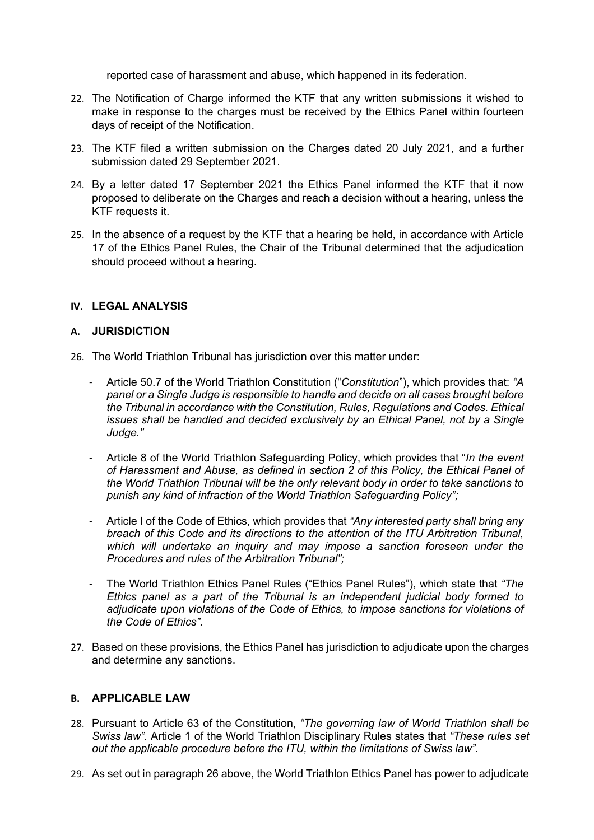reported case of harassment and abuse, which happened in its federation.

- 22. The Notification of Charge informed the KTF that any written submissions it wished to make in response to the charges must be received by the Ethics Panel within fourteen days of receipt of the Notification.
- 23. The KTF filed a written submission on the Charges dated 20 July 2021, and a further submission dated 29 September 2021.
- 24. By a letter dated 17 September 2021 the Ethics Panel informed the KTF that it now proposed to deliberate on the Charges and reach a decision without a hearing, unless the KTF requests it.
- 25. In the absence of a request by the KTF that a hearing be held, in accordance with Article 17 of the Ethics Panel Rules, the Chair of the Tribunal determined that the adjudication should proceed without a hearing.

## **IV. LEGAL ANALYSIS**

#### **A. JURISDICTION**

- 26. The World Triathlon Tribunal has jurisdiction over this matter under:
	- Article 50.7 of the World Triathlon Constitution ("*Constitution*"), which provides that: *"A panel or a Single Judge is responsible to handle and decide on all cases brought before the Tribunal in accordance with the Constitution, Rules, Regulations and Codes. Ethical issues shall be handled and decided exclusively by an Ethical Panel, not by a Single Judge."*
	- Article 8 of the World Triathlon Safeguarding Policy, which provides that "*In the event of Harassment and Abuse, as defined in section 2 of this Policy, the Ethical Panel of the World Triathlon Tribunal will be the only relevant body in order to take sanctions to punish any kind of infraction of the World Triathlon Safeguarding Policy";*
	- Article I of the Code of Ethics, which provides that *"Any interested party shall bring any breach of this Code and its directions to the attention of the ITU Arbitration Tribunal, which will undertake an inquiry and may impose a sanction foreseen under the Procedures and rules of the Arbitration Tribunal";*
	- The World Triathlon Ethics Panel Rules ("Ethics Panel Rules"), which state that *"The Ethics panel as a part of the Tribunal is an independent judicial body formed to adjudicate upon violations of the Code of Ethics, to impose sanctions for violations of the Code of Ethics".*
- 27. Based on these provisions, the Ethics Panel has jurisdiction to adjudicate upon the charges and determine any sanctions.

## **B. APPLICABLE LAW**

- 28. Pursuant to Article 63 of the Constitution, *"The governing law of World Triathlon shall be Swiss law"*. Article 1 of the World Triathlon Disciplinary Rules states that *"These rules set out the applicable procedure before the ITU, within the limitations of Swiss law".*
- 29. As set out in paragraph 26 above, the World Triathlon Ethics Panel has power to adjudicate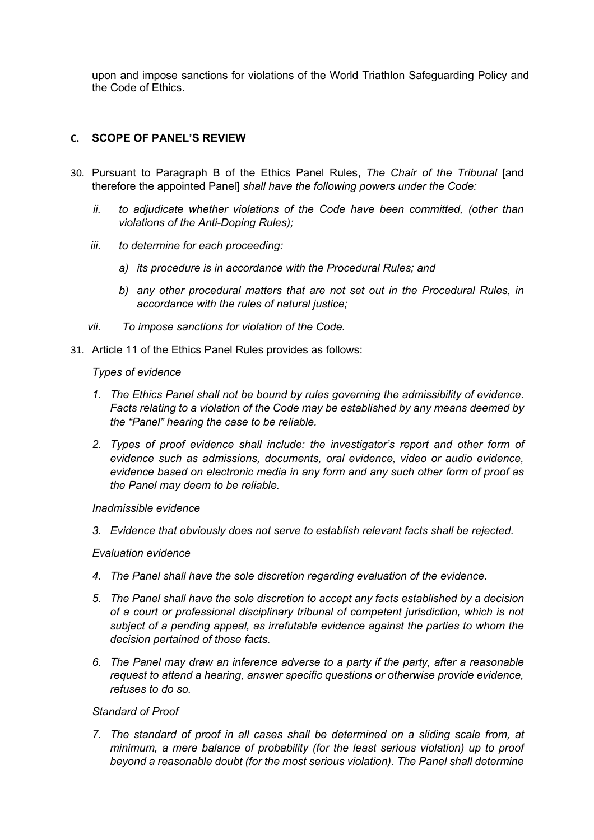upon and impose sanctions for violations of the World Triathlon Safeguarding Policy and the Code of Ethics.

## **C. SCOPE OF PANEL'S REVIEW**

- 30. Pursuant to Paragraph B of the Ethics Panel Rules, *The Chair of the Tribunal* [and therefore the appointed Panel] *shall have the following powers under the Code:*
	- *ii.* to adjudicate whether violations of the Code have been committed, (other than *violations of the Anti-Doping Rules);*
	- *iii. to determine for each proceeding:*
		- *a) its procedure is in accordance with the Procedural Rules; and*
		- *b) any other procedural matters that are not set out in the Procedural Rules, in accordance with the rules of natural justice;*
	- *vii. To impose sanctions for violation of the Code.*
- 31. Article 11 of the Ethics Panel Rules provides as follows:

#### *Types of evidence*

- *1. The Ethics Panel shall not be bound by rules governing the admissibility of evidence. Facts relating to a violation of the Code may be established by any means deemed by the "Panel" hearing the case to be reliable.*
- *2. Types of proof evidence shall include: the investigator's report and other form of evidence such as admissions, documents, oral evidence, video or audio evidence, evidence based on electronic media in any form and any such other form of proof as the Panel may deem to be reliable.*

#### *Inadmissible evidence*

*3. Evidence that obviously does not serve to establish relevant facts shall be rejected.*

## *Evaluation evidence*

- *4. The Panel shall have the sole discretion regarding evaluation of the evidence.*
- *5. The Panel shall have the sole discretion to accept any facts established by a decision of a court or professional disciplinary tribunal of competent jurisdiction, which is not subject of a pending appeal, as irrefutable evidence against the parties to whom the decision pertained of those facts.*
- *6. The Panel may draw an inference adverse to a party if the party, after a reasonable request to attend a hearing, answer specific questions or otherwise provide evidence, refuses to do so.*

#### *Standard of Proof*

*7. The standard of proof in all cases shall be determined on a sliding scale from, at minimum, a mere balance of probability (for the least serious violation) up to proof beyond a reasonable doubt (for the most serious violation). The Panel shall determine*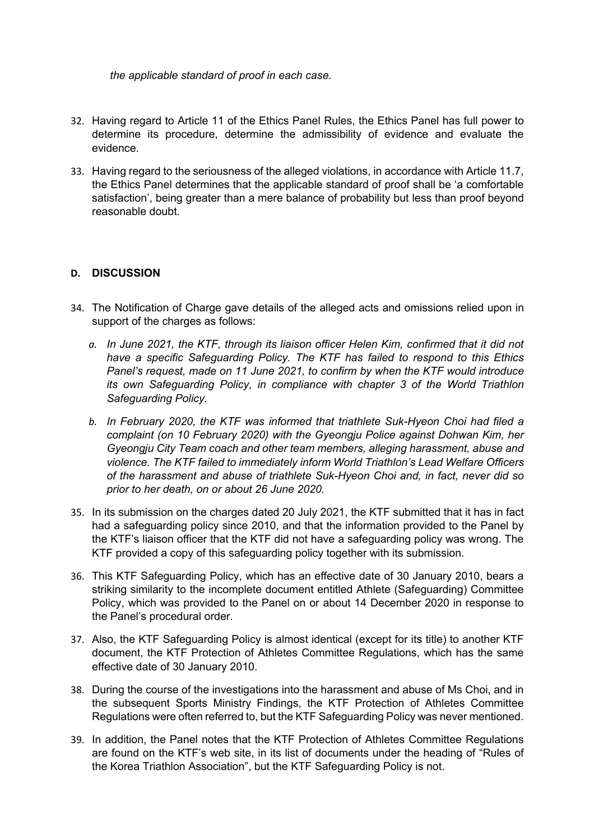*the applicable standard of proof in each case.*

- 32. Having regard to Article 11 of the Ethics Panel Rules, the Ethics Panel has full power to determine its procedure, determine the admissibility of evidence and evaluate the evidence.
- 33. Having regard to the seriousness of the alleged violations, in accordance with Article 11.7, the Ethics Panel determines that the applicable standard of proof shall be 'a comfortable satisfaction', being greater than a mere balance of probability but less than proof beyond reasonable doubt.

## **D. DISCUSSION**

- 34. The Notification of Charge gave details of the alleged acts and omissions relied upon in support of the charges as follows:
	- *a. In June 2021, the KTF, through its liaison officer Helen Kim, confirmed that it did not have a specific Safeguarding Policy. The KTF has failed to respond to this Ethics Panel's request, made on 11 June 2021, to confirm by when the KTF would introduce its own Safeguarding Policy, in compliance with chapter 3 of the World Triathlon Safeguarding Policy.*
	- *b. In February 2020, the KTF was informed that triathlete Suk-Hyeon Choi had filed a complaint (on 10 February 2020) with the Gyeongju Police against Dohwan Kim, her Gyeongju City Team coach and other team members, alleging harassment, abuse and violence. The KTF failed to immediately inform World Triathlon's Lead Welfare Officers of the harassment and abuse of triathlete Suk-Hyeon Choi and, in fact, never did so prior to her death, on or about 26 June 2020.*
- 35. In its submission on the charges dated 20 July 2021, the KTF submitted that it has in fact had a safeguarding policy since 2010, and that the information provided to the Panel by the KTF's liaison officer that the KTF did not have a safeguarding policy was wrong. The KTF provided a copy of this safeguarding policy together with its submission.
- 36. This KTF Safeguarding Policy, which has an effective date of 30 January 2010, bears a striking similarity to the incomplete document entitled Athlete (Safeguarding) Committee Policy, which was provided to the Panel on or about 14 December 2020 in response to the Panel's procedural order.
- 37. Also, the KTF Safeguarding Policy is almost identical (except for its title) to another KTF document, the KTF Protection of Athletes Committee Regulations, which has the same effective date of 30 January 2010.
- 38. During the course of the investigations into the harassment and abuse of Ms Choi, and in the subsequent Sports Ministry Findings, the KTF Protection of Athletes Committee Regulations were often referred to, but the KTF Safeguarding Policy was never mentioned.
- 39. In addition, the Panel notes that the KTF Protection of Athletes Committee Regulations are found on the KTF's web site, in its list of documents under the heading of "Rules of the Korea Triathlon Association", but the KTF Safeguarding Policy is not.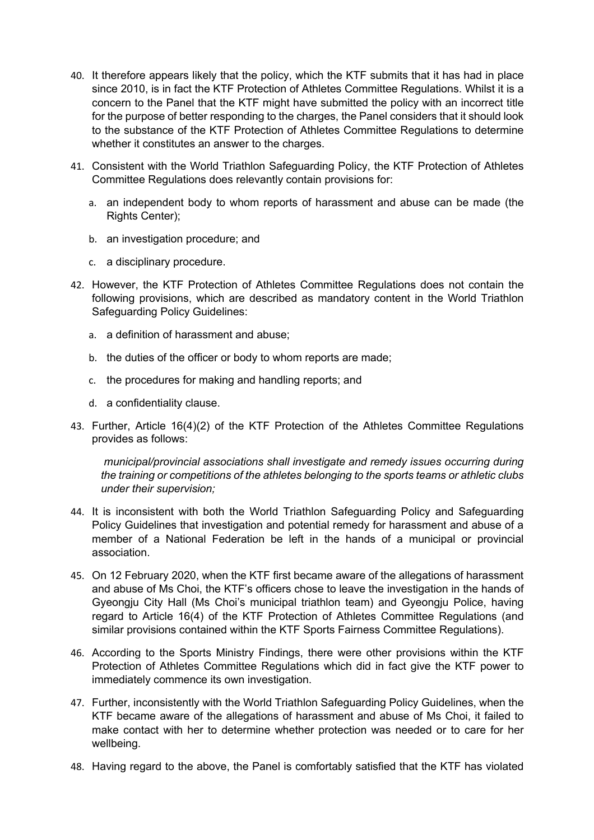- 40. It therefore appears likely that the policy, which the KTF submits that it has had in place since 2010, is in fact the KTF Protection of Athletes Committee Regulations. Whilst it is a concern to the Panel that the KTF might have submitted the policy with an incorrect title for the purpose of better responding to the charges, the Panel considers that it should look to the substance of the KTF Protection of Athletes Committee Regulations to determine whether it constitutes an answer to the charges.
- 41. Consistent with the World Triathlon Safeguarding Policy, the KTF Protection of Athletes Committee Regulations does relevantly contain provisions for:
	- a. an independent body to whom reports of harassment and abuse can be made (the Rights Center);
	- b. an investigation procedure; and
	- c. a disciplinary procedure.
- 42. However, the KTF Protection of Athletes Committee Regulations does not contain the following provisions, which are described as mandatory content in the World Triathlon Safeguarding Policy Guidelines:
	- a. a definition of harassment and abuse;
	- b. the duties of the officer or body to whom reports are made;
	- c. the procedures for making and handling reports; and
	- d. a confidentiality clause.
- 43. Further, Article 16(4)(2) of the KTF Protection of the Athletes Committee Regulations provides as follows:

*municipal/provincial associations shall investigate and remedy issues occurring during the training or competitions of the athletes belonging to the sports teams or athletic clubs under their supervision;*

- 44. It is inconsistent with both the World Triathlon Safeguarding Policy and Safeguarding Policy Guidelines that investigation and potential remedy for harassment and abuse of a member of a National Federation be left in the hands of a municipal or provincial association.
- 45. On 12 February 2020, when the KTF first became aware of the allegations of harassment and abuse of Ms Choi, the KTF's officers chose to leave the investigation in the hands of Gyeongju City Hall (Ms Choi's municipal triathlon team) and Gyeongju Police, having regard to Article 16(4) of the KTF Protection of Athletes Committee Regulations (and similar provisions contained within the KTF Sports Fairness Committee Regulations).
- 46. According to the Sports Ministry Findings, there were other provisions within the KTF Protection of Athletes Committee Regulations which did in fact give the KTF power to immediately commence its own investigation.
- 47. Further, inconsistently with the World Triathlon Safeguarding Policy Guidelines, when the KTF became aware of the allegations of harassment and abuse of Ms Choi, it failed to make contact with her to determine whether protection was needed or to care for her wellbeing.
- 48. Having regard to the above, the Panel is comfortably satisfied that the KTF has violated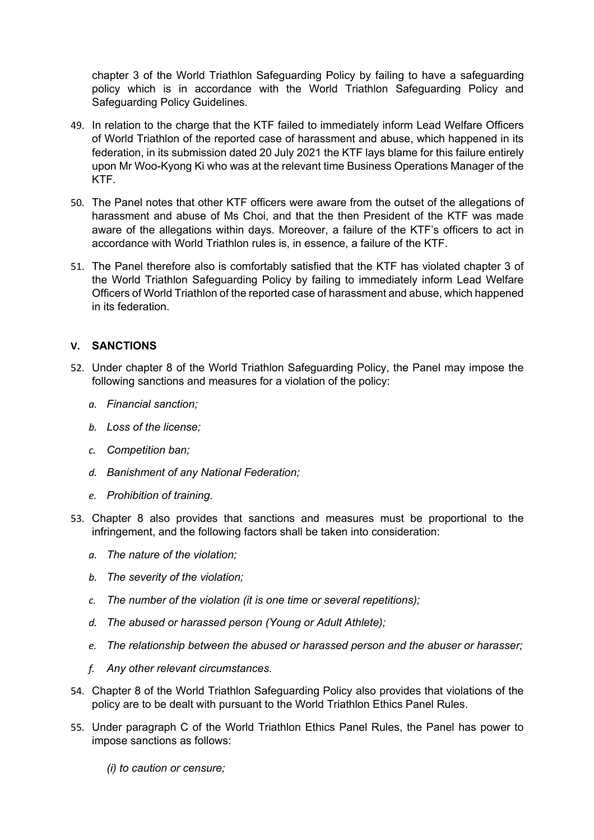chapter 3 of the World Triathlon Safeguarding Policy by failing to have a safeguarding policy which is in accordance with the World Triathlon Safeguarding Policy and Safeguarding Policy Guidelines.

- 49. In relation to the charge that the KTF failed to immediately inform Lead Welfare Officers of World Triathlon of the reported case of harassment and abuse, which happened in its federation, in its submission dated 20 July 2021 the KTF lays blame for this failure entirely upon Mr Woo-Kyong Ki who was at the relevant time Business Operations Manager of the KTF.
- 50. The Panel notes that other KTF officers were aware from the outset of the allegations of harassment and abuse of Ms Choi, and that the then President of the KTF was made aware of the allegations within days. Moreover, a failure of the KTF's officers to act in accordance with World Triathlon rules is, in essence, a failure of the KTF.
- 51. The Panel therefore also is comfortably satisfied that the KTF has violated chapter 3 of the World Triathlon Safeguarding Policy by failing to immediately inform Lead Welfare Officers of World Triathlon of the reported case of harassment and abuse, which happened in its federation.

## **V. SANCTIONS**

- 52. Under chapter 8 of the World Triathlon Safeguarding Policy, the Panel may impose the following sanctions and measures for a violation of the policy:
	- *a. Financial sanction;*
	- *b. Loss of the license;*
	- *c. Competition ban;*
	- *d. Banishment of any National Federation;*
	- *e. Prohibition of training.*
- 53. Chapter 8 also provides that sanctions and measures must be proportional to the infringement, and the following factors shall be taken into consideration:
	- *a. The nature of the violation;*
	- *b. The severity of the violation;*
	- *c. The number of the violation (it is one time or several repetitions);*
	- *d. The abused or harassed person (Young or Adult Athlete);*
	- *e. The relationship between the abused or harassed person and the abuser or harasser;*
	- *f. Any other relevant circumstances.*
- 54. Chapter 8 of the World Triathlon Safeguarding Policy also provides that violations of the policy are to be dealt with pursuant to the World Triathlon Ethics Panel Rules.
- 55. Under paragraph C of the World Triathlon Ethics Panel Rules, the Panel has power to impose sanctions as follows:
	- *(i) to caution or censure;*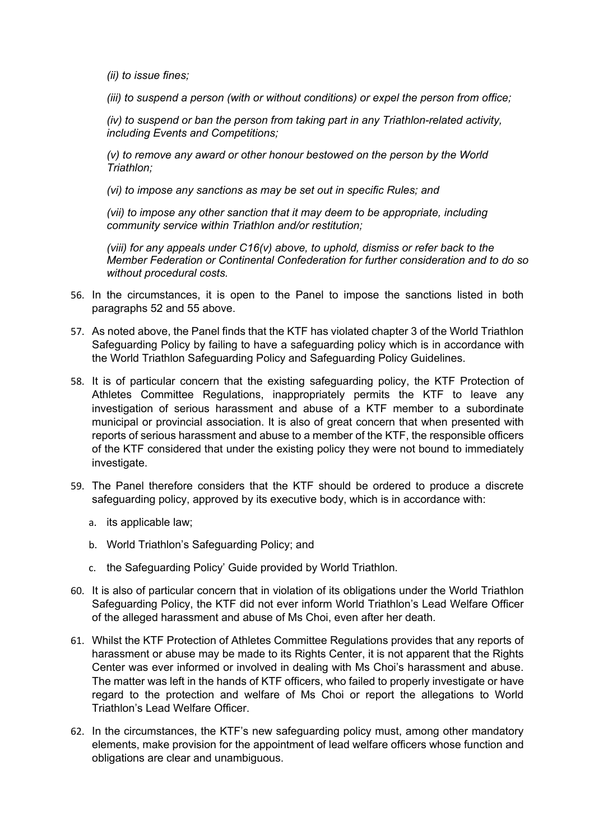*(ii) to issue fines;* 

*(iii) to suspend a person (with or without conditions) or expel the person from office;* 

*(iv) to suspend or ban the person from taking part in any Triathlon-related activity, including Events and Competitions;* 

*(v) to remove any award or other honour bestowed on the person by the World Triathlon;* 

*(vi) to impose any sanctions as may be set out in specific Rules; and* 

*(vii) to impose any other sanction that it may deem to be appropriate, including community service within Triathlon and/or restitution;* 

*(viii) for any appeals under C16(v) above, to uphold, dismiss or refer back to the Member Federation or Continental Confederation for further consideration and to do so without procedural costs.* 

- 56. In the circumstances, it is open to the Panel to impose the sanctions listed in both paragraphs 52 and 55 above.
- 57. As noted above, the Panel finds that the KTF has violated chapter 3 of the World Triathlon Safeguarding Policy by failing to have a safeguarding policy which is in accordance with the World Triathlon Safeguarding Policy and Safeguarding Policy Guidelines.
- 58. It is of particular concern that the existing safeguarding policy, the KTF Protection of Athletes Committee Regulations, inappropriately permits the KTF to leave any investigation of serious harassment and abuse of a KTF member to a subordinate municipal or provincial association. It is also of great concern that when presented with reports of serious harassment and abuse to a member of the KTF, the responsible officers of the KTF considered that under the existing policy they were not bound to immediately investigate.
- 59. The Panel therefore considers that the KTF should be ordered to produce a discrete safeguarding policy, approved by its executive body, which is in accordance with:
	- a. its applicable law;
	- b. World Triathlon's Safeguarding Policy; and
	- c. the Safeguarding Policy' Guide provided by World Triathlon.
- 60. It is also of particular concern that in violation of its obligations under the World Triathlon Safeguarding Policy, the KTF did not ever inform World Triathlon's Lead Welfare Officer of the alleged harassment and abuse of Ms Choi, even after her death.
- 61. Whilst the KTF Protection of Athletes Committee Regulations provides that any reports of harassment or abuse may be made to its Rights Center, it is not apparent that the Rights Center was ever informed or involved in dealing with Ms Choi's harassment and abuse. The matter was left in the hands of KTF officers, who failed to properly investigate or have regard to the protection and welfare of Ms Choi or report the allegations to World Triathlon's Lead Welfare Officer.
- 62. In the circumstances, the KTF's new safeguarding policy must, among other mandatory elements, make provision for the appointment of lead welfare officers whose function and obligations are clear and unambiguous.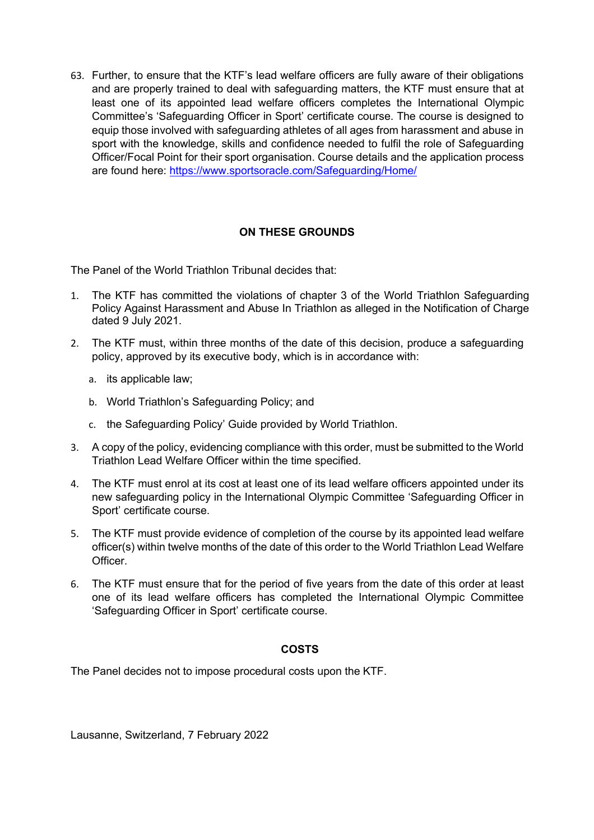63. Further, to ensure that the KTF's lead welfare officers are fully aware of their obligations and are properly trained to deal with safeguarding matters, the KTF must ensure that at least one of its appointed lead welfare officers completes the International Olympic Committee's 'Safeguarding Officer in Sport' certificate course. The course is designed to equip those involved with safeguarding athletes of all ages from harassment and abuse in sport with the knowledge, skills and confidence needed to fulfil the role of Safeguarding Officer/Focal Point for their sport organisation. Course details and the application process are found here: https://www.sportsoracle.com/Safeguarding/Home/

## **ON THESE GROUNDS**

The Panel of the World Triathlon Tribunal decides that:

- 1. The KTF has committed the violations of chapter 3 of the World Triathlon Safeguarding Policy Against Harassment and Abuse In Triathlon as alleged in the Notification of Charge dated 9 July 2021.
- 2. The KTF must, within three months of the date of this decision, produce a safeguarding policy, approved by its executive body, which is in accordance with:
	- a. its applicable law;
	- b. World Triathlon's Safeguarding Policy; and
	- c. the Safeguarding Policy' Guide provided by World Triathlon.
- 3. A copy of the policy, evidencing compliance with this order, must be submitted to the World Triathlon Lead Welfare Officer within the time specified.
- 4. The KTF must enrol at its cost at least one of its lead welfare officers appointed under its new safeguarding policy in the International Olympic Committee 'Safeguarding Officer in Sport' certificate course.
- 5. The KTF must provide evidence of completion of the course by its appointed lead welfare officer(s) within twelve months of the date of this order to the World Triathlon Lead Welfare Officer.
- 6. The KTF must ensure that for the period of five years from the date of this order at least one of its lead welfare officers has completed the International Olympic Committee 'Safeguarding Officer in Sport' certificate course.

## **COSTS**

The Panel decides not to impose procedural costs upon the KTF.

Lausanne, Switzerland, 7 February 2022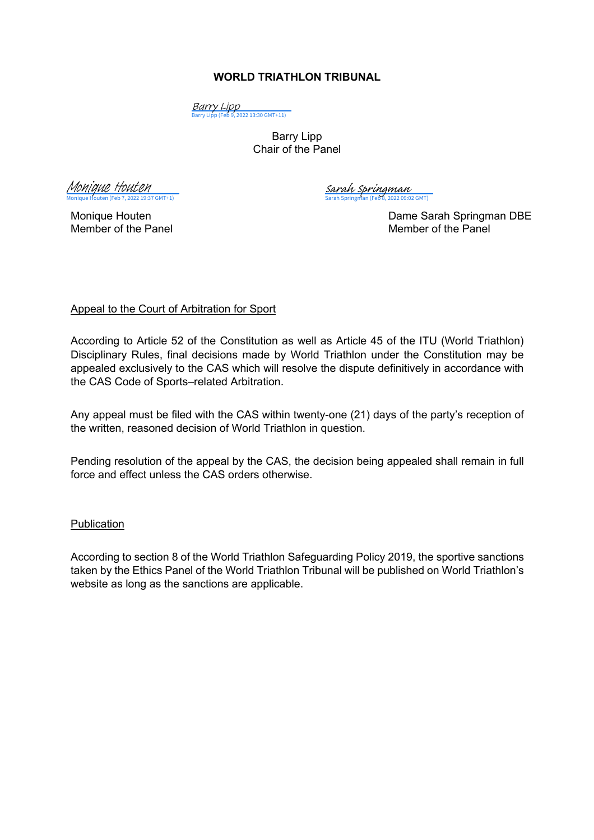## **WORLD TRIATHLON TRIBUNAL**

<mark>Barry Lipp</mark><br>[Barry Lipp \(Feb 9, 2022 13:30 GMT+11\)](https://eu2.documents.adobe.com/verifier?tx=CBJCHBCAABAACKSi22B-HjSr8-PuIR5As-1YMOqrmf_g)

Barry Lipp Chair of the Panel

 $\overline{\text{GMT+1}}$ [Monique Houten](https://adobefreeuserschannel.eu2.documents.adobe.com/verifier?tx=CBJCHBCAABAACKSi22B-HjSr8-PuIR5As-1YMOqrmf_g)

[Sarah Springman](https://eu2.documents.adobe.com/verifier?tx=CBJCHBCAABAACKSi22B-HjSr8-PuIR5As-1YMOqrmf_g)<br>Sarah Springman (Feb 8, 2022 09:02 GMT)

Monique Houten **Dame Sarah Springman DBE** Member of the Panel Member of the Panel

## Appeal to the Court of Arbitration for Sport

According to Article 52 of the Constitution as well as Article 45 of the ITU (World Triathlon) Disciplinary Rules, final decisions made by World Triathlon under the Constitution may be appealed exclusively to the CAS which will resolve the dispute definitively in accordance with the CAS Code of Sports–related Arbitration.

Any appeal must be filed with the CAS within twenty-one (21) days of the party's reception of the written, reasoned decision of World Triathlon in question.

Pending resolution of the appeal by the CAS, the decision being appealed shall remain in full force and effect unless the CAS orders otherwise.

## Publication

According to section 8 of the World Triathlon Safeguarding Policy 2019, the sportive sanctions taken by the Ethics Panel of the World Triathlon Tribunal will be published on World Triathlon's website as long as the sanctions are applicable.